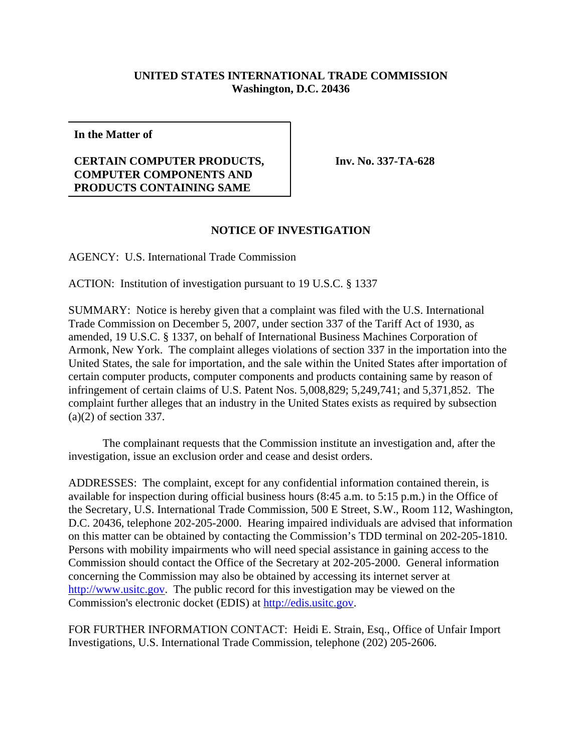## **UNITED STATES INTERNATIONAL TRADE COMMISSION Washington, D.C. 20436**

**In the Matter of**

## **CERTAIN COMPUTER PRODUCTS, COMPUTER COMPONENTS AND PRODUCTS CONTAINING SAME**

**Inv. No. 337-TA-628**

## **NOTICE OF INVESTIGATION**

AGENCY: U.S. International Trade Commission

ACTION: Institution of investigation pursuant to 19 U.S.C. § 1337

SUMMARY: Notice is hereby given that a complaint was filed with the U.S. International Trade Commission on December 5, 2007, under section 337 of the Tariff Act of 1930, as amended, 19 U.S.C. § 1337, on behalf of International Business Machines Corporation of Armonk, New York. The complaint alleges violations of section 337 in the importation into the United States, the sale for importation, and the sale within the United States after importation of certain computer products, computer components and products containing same by reason of infringement of certain claims of U.S. Patent Nos. 5,008,829; 5,249,741; and 5,371,852. The complaint further alleges that an industry in the United States exists as required by subsection (a)(2) of section 337.

The complainant requests that the Commission institute an investigation and, after the investigation, issue an exclusion order and cease and desist orders.

ADDRESSES: The complaint, except for any confidential information contained therein, is available for inspection during official business hours (8:45 a.m. to 5:15 p.m.) in the Office of the Secretary, U.S. International Trade Commission, 500 E Street, S.W., Room 112, Washington, D.C. 20436, telephone 202-205-2000. Hearing impaired individuals are advised that information on this matter can be obtained by contacting the Commission's TDD terminal on 202-205-1810. Persons with mobility impairments who will need special assistance in gaining access to the Commission should contact the Office of the Secretary at 202-205-2000. General information concerning the Commission may also be obtained by accessing its internet server at http://www.usitc.gov. The public record for this investigation may be viewed on the Commission's electronic docket (EDIS) at http://edis.usitc.gov.

FOR FURTHER INFORMATION CONTACT: Heidi E. Strain, Esq., Office of Unfair Import Investigations, U.S. International Trade Commission, telephone (202) 205-2606.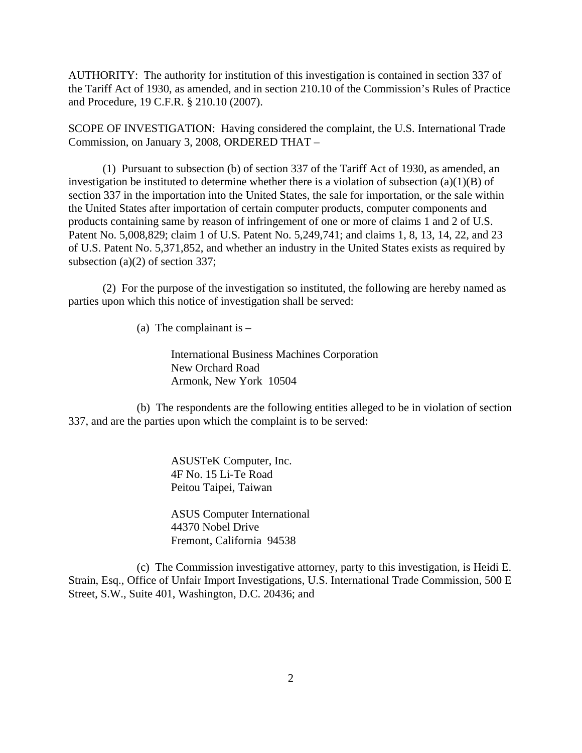AUTHORITY: The authority for institution of this investigation is contained in section 337 of the Tariff Act of 1930, as amended, and in section 210.10 of the Commission's Rules of Practice and Procedure, 19 C.F.R. § 210.10 (2007).

SCOPE OF INVESTIGATION: Having considered the complaint, the U.S. International Trade Commission, on January 3, 2008, ORDERED THAT –

(1) Pursuant to subsection (b) of section 337 of the Tariff Act of 1930, as amended, an investigation be instituted to determine whether there is a violation of subsection  $(a)(1)(B)$  of section 337 in the importation into the United States, the sale for importation, or the sale within the United States after importation of certain computer products, computer components and products containing same by reason of infringement of one or more of claims 1 and 2 of U.S. Patent No. 5,008,829; claim 1 of U.S. Patent No. 5,249,741; and claims 1, 8, 13, 14, 22, and 23 of U.S. Patent No. 5,371,852, and whether an industry in the United States exists as required by subsection (a)(2) of section 337;

(2) For the purpose of the investigation so instituted, the following are hereby named as parties upon which this notice of investigation shall be served:

(a) The complainant is  $-$ 

International Business Machines Corporation New Orchard Road Armonk, New York 10504

(b) The respondents are the following entities alleged to be in violation of section 337, and are the parties upon which the complaint is to be served:

> ASUSTeK Computer, Inc. 4F No. 15 Li-Te Road Peitou Taipei, Taiwan

ASUS Computer International 44370 Nobel Drive Fremont, California 94538

(c) The Commission investigative attorney, party to this investigation, is Heidi E. Strain, Esq., Office of Unfair Import Investigations, U.S. International Trade Commission, 500 E Street, S.W., Suite 401, Washington, D.C. 20436; and